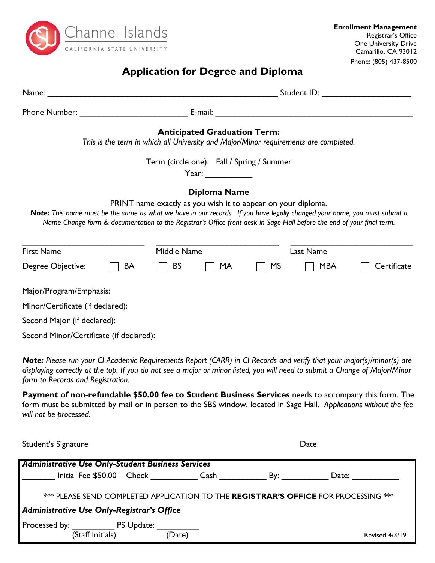

# **Application for Degree and Diploma**

|                                                                                                                           |    | Student ID: ______________________ |                                                                              |           |                                                                                                                       |             |  |
|---------------------------------------------------------------------------------------------------------------------------|----|------------------------------------|------------------------------------------------------------------------------|-----------|-----------------------------------------------------------------------------------------------------------------------|-------------|--|
|                                                                                                                           |    |                                    |                                                                              |           |                                                                                                                       |             |  |
|                                                                                                                           |    |                                    | <b>Anticipated Graduation Term:</b>                                          |           | This is the term in which all University and Major/Minor requirements are completed.                                  |             |  |
|                                                                                                                           |    |                                    | Term (circle one): Fall / Spring / Summer<br>Year: $\qquad \qquad$           |           |                                                                                                                       |             |  |
| Note: This name must be the same as what we have in our records. If you have legally changed your name, you must submit a |    |                                    | Diploma Name<br>PRINT name exactly as you wish it to appear on your diploma. |           | Name Change form & documentation to the Registrar's Office front desk in Sage Hall before the end of your final term. |             |  |
| <b>First Name</b>                                                                                                         |    | Middle Name                        |                                                                              |           | Last Name                                                                                                             |             |  |
| Degree Objective:                                                                                                         | BA | <b>BS</b>                          | MA                                                                           | <b>MS</b> | <b>MBA</b>                                                                                                            | Certificate |  |
| Major/Program/Emphasis:                                                                                                   |    |                                    |                                                                              |           |                                                                                                                       |             |  |
| Minor/Certificate (if declared):                                                                                          |    |                                    |                                                                              |           |                                                                                                                       |             |  |
| Second Major (if declared):                                                                                               |    |                                    |                                                                              |           |                                                                                                                       |             |  |
| Second Minor/Certificate (if declared):                                                                                   |    |                                    |                                                                              |           |                                                                                                                       |             |  |

*Note: Please run your CI Academic Requirements Report (CARR) in CI Records and verify that your major(s)/minor(s) are displaying correctly at the top. If you do not see a major or minor listed, you will need to submit a Change of Major/Minor form to Records and Registration.* 

**Payment of non-refundable \$50.00 fee to Student Business Services** needs to accompany this form. The form must be submitted by mail or in person to the SBS window, located in Sage Hall. *Applications without the fee will not be processed.* 

| Student's Signature                                                                                                              |  | Date   |                                                                                                                                                                                                                                |                |  |  |  |  |
|----------------------------------------------------------------------------------------------------------------------------------|--|--------|--------------------------------------------------------------------------------------------------------------------------------------------------------------------------------------------------------------------------------|----------------|--|--|--|--|
| <b>Administrative Use Only-Student Business Services</b>                                                                         |  |        |                                                                                                                                                                                                                                |                |  |  |  |  |
| Initial Fee \$50.00 Check                                                                                                        |  | Cash   | By: the control of the control of the control of the control of the control of the control of the control of the control of the control of the control of the control of the control of the control of the control of the cont | Date: $\_\_$   |  |  |  |  |
| *** PLEASE SEND COMPLETED APPLICATION TO THE REGISTRAR'S OFFICE FOR PROCESSING ***<br>Administrative Use Only-Registrar's Office |  |        |                                                                                                                                                                                                                                |                |  |  |  |  |
|                                                                                                                                  |  |        |                                                                                                                                                                                                                                |                |  |  |  |  |
| Processed by: PS Update:<br>(Staff Initials)                                                                                     |  | (Date) |                                                                                                                                                                                                                                | Revised 4/3/19 |  |  |  |  |